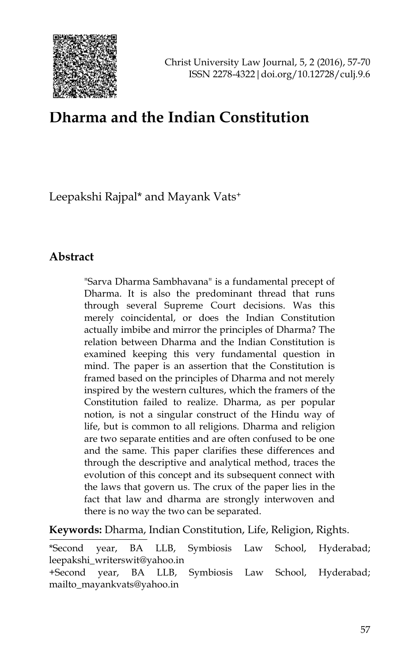

# **Dharma and the Indian Constitution**

Leepakshi Rajpal\* and Mayank Vats<sup>+</sup>

#### **Abstract**

"Sarva Dharma Sambhavana" is a fundamental precept of Dharma. It is also the predominant thread that runs through several Supreme Court decisions. Was this merely coincidental, or does the Indian Constitution actually imbibe and mirror the principles of Dharma? The relation between Dharma and the Indian Constitution is examined keeping this very fundamental question in mind. The paper is an assertion that the Constitution is framed based on the principles of Dharma and not merely inspired by the western cultures, which the framers of the Constitution failed to realize. Dharma, as per popular notion, is not a singular construct of the Hindu way of life, but is common to all religions. Dharma and religion are two separate entities and are often confused to be one and the same. This paper clarifies these differences and through the descriptive and analytical method, traces the evolution of this concept and its subsequent connect with the laws that govern us. The crux of the paper lies in the fact that law and dharma are strongly interwoven and there is no way the two can be separated.

**Keywords:** Dharma, Indian Constitution, Life, Religion, Rights.

\*Second year, BA LLB, Symbiosis Law School, Hyderabad; leepakshi\_writerswit@yahoo.in

<sup>+</sup>Second year, BA LLB, Symbiosis Law School, Hyderabad; mailto\_mayankvats@yahoo.in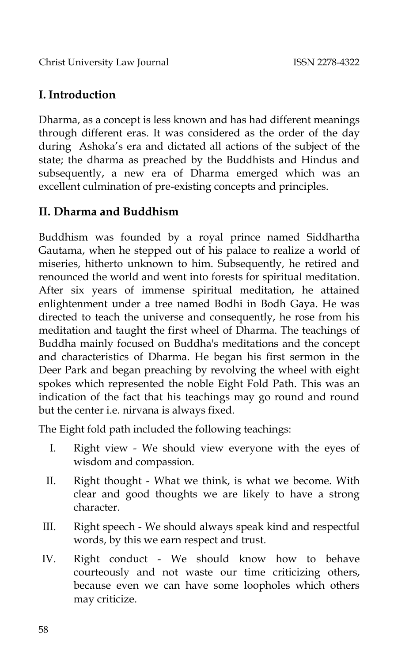Christ University Law Journal ISSN 2278-4322

## **I. Introduction**

Dharma, as a concept is less known and has had different meanings through different eras. It was considered as the order of the day during Ashoka"s era and dictated all actions of the subject of the state; the dharma as preached by the Buddhists and Hindus and subsequently, a new era of Dharma emerged which was an excellent culmination of pre-existing concepts and principles.

### **II. Dharma and Buddhism**

Buddhism was founded by a royal prince named Siddhartha Gautama, when he stepped out of his palace to realize a world of miseries, hitherto unknown to him. Subsequently, he retired and renounced the world and went into forests for spiritual meditation. After six years of immense spiritual meditation, he attained enlightenment under a tree named Bodhi in Bodh Gaya. He was directed to teach the universe and consequently, he rose from his meditation and taught the first wheel of Dharma. The teachings of Buddha mainly focused on Buddha's meditations and the concept and characteristics of Dharma. He began his first sermon in the Deer Park and began preaching by revolving the wheel with eight spokes which represented the noble Eight Fold Path. This was an indication of the fact that his teachings may go round and round but the center i.e. nirvana is always fixed.

The Eight fold path included the following teachings:

- I. Right view We should view everyone with the eyes of wisdom and compassion.
- II. Right thought What we think, is what we become. With clear and good thoughts we are likely to have a strong character.
- III. Right speech We should always speak kind and respectful words, by this we earn respect and trust.
- IV. Right conduct We should know how to behave courteously and not waste our time criticizing others, because even we can have some loopholes which others may criticize.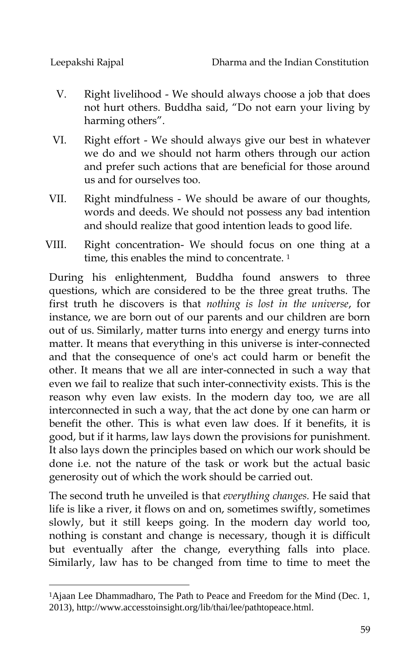j

- V. Right livelihood We should always choose a job that does not hurt others. Buddha said, "Do not earn your living by harming others".
- VI. Right effort We should always give our best in whatever we do and we should not harm others through our action and prefer such actions that are beneficial for those around us and for ourselves too.
- VII. Right mindfulness We should be aware of our thoughts, words and deeds. We should not possess any bad intention and should realize that good intention leads to good life.
- VIII. Right concentration- We should focus on one thing at a time, this enables the mind to concentrate.<sup>1</sup>

During his enlightenment, Buddha found answers to three questions, which are considered to be the three great truths. The first truth he discovers is that *nothing is lost in the universe*, for instance, we are born out of our parents and our children are born out of us. Similarly, matter turns into energy and energy turns into matter. It means that everything in this universe is inter-connected and that the consequence of one's act could harm or benefit the other. It means that we all are inter-connected in such a way that even we fail to realize that such inter-connectivity exists. This is the reason why even law exists. In the modern day too, we are all interconnected in such a way, that the act done by one can harm or benefit the other. This is what even law does. If it benefits, it is good, but if it harms, law lays down the provisions for punishment. It also lays down the principles based on which our work should be done i.e. not the nature of the task or work but the actual basic generosity out of which the work should be carried out.

The second truth he unveiled is that *everything changes.* He said that life is like a river, it flows on and on, sometimes swiftly, sometimes slowly, but it still keeps going. In the modern day world too, nothing is constant and change is necessary, though it is difficult but eventually after the change, everything falls into place. Similarly, law has to be changed from time to time to meet the

<sup>&</sup>lt;sup>1</sup>Ajaan Lee Dhammadharo, The Path to Peace and Freedom for the Mind (Dec. 1, 2013), http://www.accesstoinsight.org/lib/thai/lee/pathtopeace.html.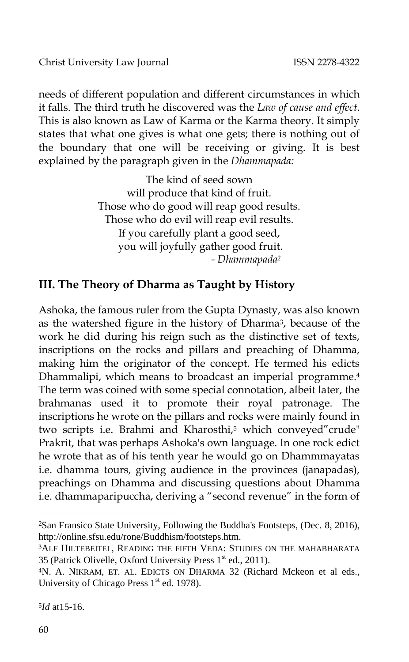needs of different population and different circumstances in which it falls. The third truth he discovered was the *Law of cause and effect*. This is also known as Law of Karma or the Karma theory. It simply states that what one gives is what one gets; there is nothing out of the boundary that one will be receiving or giving. It is best explained by the paragraph given in the *Dhammapada:*

> The kind of seed sown will produce that kind of fruit. Those who do good will reap good results. Those who do evil will reap evil results. If you carefully plant a good seed, you will joyfully gather good fruit.  *- Dhammapada<sup>2</sup>*

# **III. The Theory of Dharma as Taught by History**

Ashoka, the famous ruler from the Gupta Dynasty, was also known as the watershed figure in the history of Dharma3, because of the work he did during his reign such as the distinctive set of texts, inscriptions on the rocks and pillars and preaching of Dhamma, making him the originator of the concept. He termed his edicts Dhammalipi, which means to broadcast an imperial programme.<sup>4</sup> The term was coined with some special connotation, albeit later, the brahmanas used it to promote their royal patronage. The inscriptions he wrote on the pillars and rocks were mainly found in two scripts i.e. Brahmi and Kharosthi,<sup>5</sup> which conveyed"crude" Prakrit, that was perhaps Ashoka's own language. In one rock edict he wrote that as of his tenth year he would go on Dhammmayatas i.e. dhamma tours, giving audience in the provinces (janapadas), preachings on Dhamma and discussing questions about Dhamma i.e. dhammaparipuccha, deriving a "second revenue" in the form of

-

<sup>2</sup>San Fransico State University, Following the Buddha's Footsteps, (Dec. 8, 2016), http://online.sfsu.edu/rone/Buddhism/footsteps.htm.

<sup>3</sup>ALF HILTEBEITEL, READING THE FIFTH VEDA: STUDIES ON THE MAHABHARATA 35 (Patrick Olivelle, Oxford University Press 1<sup>st</sup> ed., 2011).

<sup>4</sup>N. A. NIKRAM, ET. AL. EDICTS ON DHARMA 32 (Richard Mckeon et al eds., University of Chicago Press  $1<sup>st</sup>$  ed. 1978).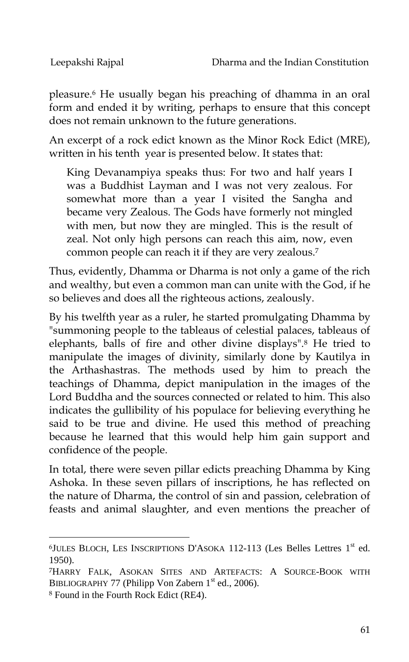pleasure.<sup>6</sup> He usually began his preaching of dhamma in an oral form and ended it by writing, perhaps to ensure that this concept does not remain unknown to the future generations.

An excerpt of a rock edict known as the Minor Rock Edict (MRE), written in his tenth year is presented below. It states that:

King Devanampiya speaks thus: For two and half years I was a Buddhist Layman and I was not very zealous. For somewhat more than a year I visited the Sangha and became very Zealous. The Gods have formerly not mingled with men, but now they are mingled. This is the result of zeal. Not only high persons can reach this aim, now, even common people can reach it if they are very zealous.<sup>7</sup>

Thus, evidently, Dhamma or Dharma is not only a game of the rich and wealthy, but even a common man can unite with the God, if he so believes and does all the righteous actions, zealously.

By his twelfth year as a ruler, he started promulgating Dhamma by "summoning people to the tableaus of celestial palaces, tableaus of elephants, balls of fire and other divine displays".<sup>8</sup> He tried to manipulate the images of divinity, similarly done by Kautilya in the Arthashastras. The methods used by him to preach the teachings of Dhamma, depict manipulation in the images of the Lord Buddha and the sources connected or related to him. This also indicates the gullibility of his populace for believing everything he said to be true and divine. He used this method of preaching because he learned that this would help him gain support and confidence of the people.

In total, there were seven pillar edicts preaching Dhamma by King Ashoka. In these seven pillars of inscriptions, he has reflected on the nature of Dharma, the control of sin and passion, celebration of feasts and animal slaughter, and even mentions the preacher of

 $6$ JULES BLOCH, LES INSCRIPTIONS D'ASOKA 112-113 (Les Belles Lettres  $1<sup>st</sup>$  ed. 1950).

<sup>7</sup>HARRY FALK, ASOKAN SITES AND ARTEFACTS: A SOURCE-BOOK WITH BIBLIOGRAPHY 77 (Philipp Von Zabern  $1<sup>st</sup>$  ed., 2006).

<sup>8</sup> Found in the Fourth Rock Edict (RE4).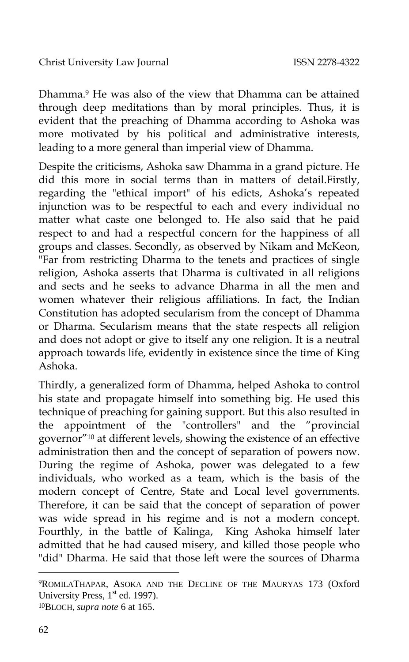Dhamma.<sup>9</sup> He was also of the view that Dhamma can be attained through deep meditations than by moral principles. Thus, it is evident that the preaching of Dhamma according to Ashoka was more motivated by his political and administrative interests, leading to a more general than imperial view of Dhamma.

Despite the criticisms, Ashoka saw Dhamma in a grand picture. He did this more in social terms than in matters of detail.Firstly, regarding the "ethical import" of his edicts, Ashoka's repeated injunction was to be respectful to each and every individual no matter what caste one belonged to. He also said that he paid respect to and had a respectful concern for the happiness of all groups and classes. Secondly, as observed by Nikam and McKeon, "Far from restricting Dharma to the tenets and practices of single religion, Ashoka asserts that Dharma is cultivated in all religions and sects and he seeks to advance Dharma in all the men and women whatever their religious affiliations. In fact, the Indian Constitution has adopted secularism from the concept of Dhamma or Dharma. Secularism means that the state respects all religion and does not adopt or give to itself any one religion. It is a neutral approach towards life, evidently in existence since the time of King Ashoka.

Thirdly, a generalized form of Dhamma, helped Ashoka to control his state and propagate himself into something big. He used this technique of preaching for gaining support. But this also resulted in the appointment of the "controllers" and the "provincial governor"<sup>10</sup> at different levels, showing the existence of an effective administration then and the concept of separation of powers now. During the regime of Ashoka, power was delegated to a few individuals, who worked as a team, which is the basis of the modern concept of Centre, State and Local level governments. Therefore, it can be said that the concept of separation of power was wide spread in his regime and is not a modern concept. Fourthly, in the battle of Kalinga, King Ashoka himself later admitted that he had caused misery, and killed those people who "did" Dharma. He said that those left were the sources of Dharma

<sup>9</sup>ROMILATHAPAR, ASOKA AND THE DECLINE OF THE MAURYAS 173 (Oxford University Press,  $1<sup>st</sup>$  ed. 1997).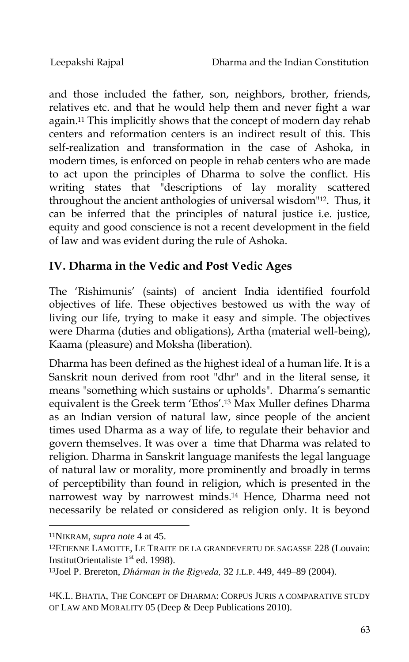and those included the father, son, neighbors, brother, friends, relatives etc. and that he would help them and never fight a war again.<sup>11</sup> This implicitly shows that the concept of modern day rehab centers and reformation centers is an indirect result of this. This self-realization and transformation in the case of Ashoka, in modern times, is enforced on people in rehab centers who are made to act upon the principles of Dharma to solve the conflict. His writing states that "descriptions of lay morality scattered throughout the ancient anthologies of universal wisdom"12. Thus, it can be inferred that the principles of natural justice i.e. justice, equity and good conscience is not a recent development in the field of law and was evident during the rule of Ashoka.

# **IV. Dharma in the Vedic and Post Vedic Ages**

The "Rishimunis" (saints) of ancient India identified fourfold objectives of life. These objectives bestowed us with the way of living our life, trying to make it easy and simple. The objectives were Dharma (duties and obligations), Artha (material well-being), Kaama (pleasure) and Moksha (liberation).

Dharma has been defined as the highest ideal of a human life. It is a Sanskrit noun derived from root "dhr" and in the literal sense, it means "something which sustains or upholds". Dharma's semantic equivalent is the Greek term 'Ethos'.<sup>13</sup> Max Muller defines Dharma as an Indian version of natural law, since people of the ancient times used Dharma as a way of life, to regulate their behavior and govern themselves. It was over a time that Dharma was related to religion. Dharma in Sanskrit language manifests the legal language of natural law or morality, more prominently and broadly in terms of perceptibility than found in religion, which is presented in the narrowest way by narrowest minds.<sup>14</sup> Hence, Dharma need not necessarily be related or considered as religion only. It is beyond

<sup>11</sup>NIKRAM, *supra note* 4 at 45.

<sup>12</sup>ETIENNE LAMOTTE, LE TRAITE DE LA GRANDEVERTU DE SAGASSE 228 (Louvain: InstitutOrientaliste  $1<sup>st</sup>$  ed. 1998).

<sup>13</sup>Joel P. Brereton, *Dhárman in the Ṛigveda,* 32 J.L.P. 449, 449–89 (2004).

<sup>14</sup>K.L. BHATIA, THE CONCEPT OF DHARMA: CORPUS JURIS A COMPARATIVE STUDY OF LAW AND MORALITY 05 (Deep & Deep Publications 2010).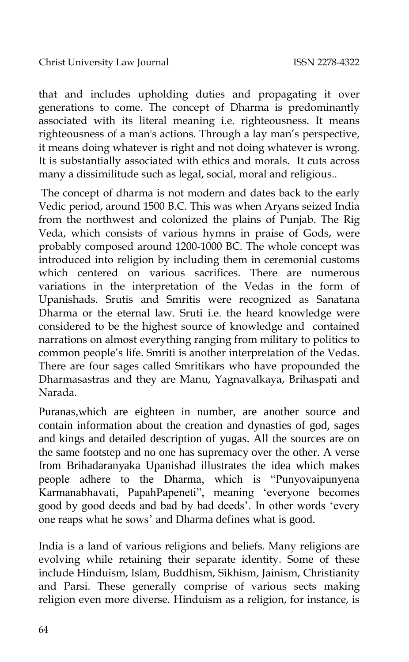that and includes upholding duties and propagating it over generations to come. The concept of Dharma is predominantly associated with its literal meaning i.e. righteousness. It means righteousness of a man's actions. Through a lay man"s perspective, it means doing whatever is right and not doing whatever is wrong. It is substantially associated with ethics and morals. It cuts across many a dissimilitude such as legal, social, moral and religious..

The concept of dharma is not modern and dates back to the early Vedic period, around 1500 B.C. This was when Aryans seized India from the northwest and colonized the plains of Punjab. The Rig Veda, which consists of various hymns in praise of Gods, were probably composed around 1200-1000 BC. The whole concept was introduced into religion by including them in ceremonial customs which centered on various sacrifices. There are numerous variations in the interpretation of the Vedas in the form of Upanishads. Srutis and Smritis were recognized as Sanatana Dharma or the eternal law. Sruti i.e. the heard knowledge were considered to be the highest source of knowledge and contained narrations on almost everything ranging from military to politics to common people"s life. Smriti is another interpretation of the Vedas. There are four sages called Smritikars who have propounded the Dharmasastras and they are Manu, Yagnavalkaya, Brihaspati and Narada.

Puranas,which are eighteen in number, are another source and contain information about the creation and dynasties of god, sages and kings and detailed description of yugas. All the sources are on the same footstep and no one has supremacy over the other. A verse from Brihadaranyaka Upanishad illustrates the idea which makes people adhere to the Dharma, which is "Punyovaipunyena Karmanabhavati, PapahPapeneti", meaning "everyone becomes good by good deeds and bad by bad deeds". In other words "every one reaps what he sows" and Dharma defines what is good.

India is a land of various religions and beliefs. Many religions are evolving while retaining their separate identity. Some of these include Hinduism, Islam, Buddhism, Sikhism, Jainism, Christianity and Parsi. These generally comprise of various sects making religion even more diverse. Hinduism as a religion, for instance, is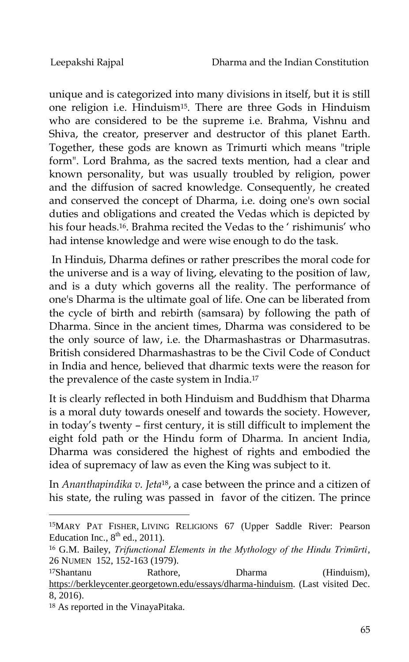unique and is categorized into many divisions in itself, but it is still one religion i.e. Hinduism15. There are three Gods in Hinduism who are considered to be the supreme i.e. Brahma, Vishnu and Shiva, the creator, preserver and destructor of this planet Earth. Together, these gods are known as Trimurti which means "triple form". Lord Brahma, as the sacred texts mention, had a clear and known personality, but was usually troubled by religion, power and the diffusion of sacred knowledge. Consequently, he created and conserved the concept of Dharma, i.e. doing one's own social duties and obligations and created the Vedas which is depicted by his four heads.<sup>16</sup>. Brahma recited the Vedas to the ' rishimunis' who had intense knowledge and were wise enough to do the task.

In Hinduis, Dharma defines or rather prescribes the moral code for the universe and is a way of living, elevating to the position of law, and is a duty which governs all the reality. The performance of one's Dharma is the ultimate goal of life. One can be liberated from the cycle of birth and rebirth (samsara) by following the path of Dharma. Since in the ancient times, Dharma was considered to be the only source of law, i.e. the Dharmashastras or Dharmasutras. British considered Dharmashastras to be the Civil Code of Conduct in India and hence, believed that dharmic texts were the reason for the prevalence of the caste system in India.<sup>17</sup>

It is clearly reflected in both Hinduism and Buddhism that Dharma is a moral duty towards oneself and towards the society. However, in today"s twenty – first century, it is still difficult to implement the eight fold path or the Hindu form of Dharma. In ancient India, Dharma was considered the highest of rights and embodied the idea of supremacy of law as even the King was subject to it.

In *Ananthapindika v. Jeta*18, a case between the prince and a citizen of his state, the ruling was passed in favor of the citizen. The prince

<sup>15</sup>MARY PAT FISHER, LIVING RELIGIONS 67 (Upper Saddle River: Pearson Education Inc.,  $8<sup>th</sup>$  ed., 2011).

<sup>16</sup> G.M. Bailey, *Trifunctional Elements in the Mythology of the Hindu Trimūrti*, 26 NUMEN 152, 152-163 (1979).

<sup>17</sup>Shantanu Rathore, Dharma (Hinduism), [https://berkleycenter.georgetown.edu/essays/dharma-hinduism.](https://berkleycenter.georgetown.edu/essays/dharma-hinduism) (Last visited Dec. 8, 2016).

<sup>18</sup> As reported in the VinayaPitaka.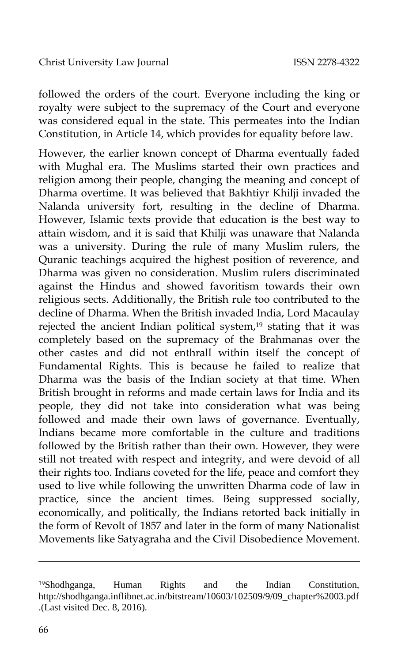followed the orders of the court. Everyone including the king or royalty were subject to the supremacy of the Court and everyone was considered equal in the state. This permeates into the Indian Constitution, in Article 14, which provides for equality before law.

However, the earlier known concept of Dharma eventually faded with Mughal era. The Muslims started their own practices and religion among their people, changing the meaning and concept of Dharma overtime. It was believed that Bakhtiyr Khilji invaded the Nalanda university fort, resulting in the decline of Dharma. However, Islamic texts provide that education is the best way to attain wisdom, and it is said that Khilji was unaware that Nalanda was a university. During the rule of many Muslim rulers, the Quranic teachings acquired the highest position of reverence, and Dharma was given no consideration. Muslim rulers discriminated against the Hindus and showed favoritism towards their own religious sects. Additionally, the British rule too contributed to the decline of Dharma. When the British invaded India, Lord Macaulay rejected the ancient Indian political system,<sup>19</sup> stating that it was completely based on the supremacy of the Brahmanas over the other castes and did not enthrall within itself the concept of Fundamental Rights. This is because he failed to realize that Dharma was the basis of the Indian society at that time. When British brought in reforms and made certain laws for India and its people, they did not take into consideration what was being followed and made their own laws of governance. Eventually, Indians became more comfortable in the culture and traditions followed by the British rather than their own. However, they were still not treated with respect and integrity, and were devoid of all their rights too. Indians coveted for the life, peace and comfort they used to live while following the unwritten Dharma code of law in practice, since the ancient times. Being suppressed socially, economically, and politically, the Indians retorted back initially in the form of Revolt of 1857 and later in the form of many Nationalist Movements like Satyagraha and the Civil Disobedience Movement.

-

<sup>19</sup>Shodhganga, Human Rights and the Indian Constitution, http://shodhganga.inflibnet.ac.in/bitstream/10603/102509/9/09\_chapter%2003.pdf .(Last visited Dec. 8, 2016).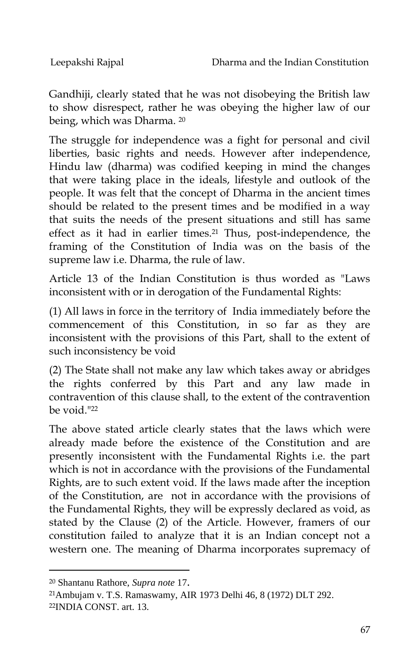Gandhiji, clearly stated that he was not disobeying the British law to show disrespect, rather he was obeying the higher law of our being, which was Dharma. <sup>20</sup>

The struggle for independence was a fight for personal and civil liberties, basic rights and needs. However after independence, Hindu law (dharma) was codified keeping in mind the changes that were taking place in the ideals, lifestyle and outlook of the people. It was felt that the concept of Dharma in the ancient times should be related to the present times and be modified in a way that suits the needs of the present situations and still has same effect as it had in earlier times.<sup>21</sup> Thus, post-independence, the framing of the Constitution of India was on the basis of the supreme law i.e. Dharma, the rule of law.

Article 13 of the Indian Constitution is thus worded as "Laws inconsistent with or in derogation of the Fundamental Rights:

(1) All laws in force in the territory of India immediately before the commencement of this Constitution, in so far as they are inconsistent with the provisions of this Part, shall to the extent of such inconsistency be void

(2) The State shall not make any law which takes away or abridges the rights conferred by this Part and any law made in contravention of this clause shall, to the extent of the contravention be void. $22$ 

The above stated article clearly states that the laws which were already made before the existence of the Constitution and are presently inconsistent with the Fundamental Rights i.e. the part which is not in accordance with the provisions of the Fundamental Rights, are to such extent void. If the laws made after the inception of the Constitution, are not in accordance with the provisions of the Fundamental Rights, they will be expressly declared as void, as stated by the Clause (2) of the Article. However, framers of our constitution failed to analyze that it is an Indian concept not a western one. The meaning of Dharma incorporates supremacy of

<sup>20</sup> Shantanu Rathore, *Supra note* 17.

<sup>21</sup>Ambujam v. T.S. Ramaswamy, AIR 1973 Delhi 46, 8 (1972) DLT 292. <sup>22</sup>INDIA CONST. art. 13.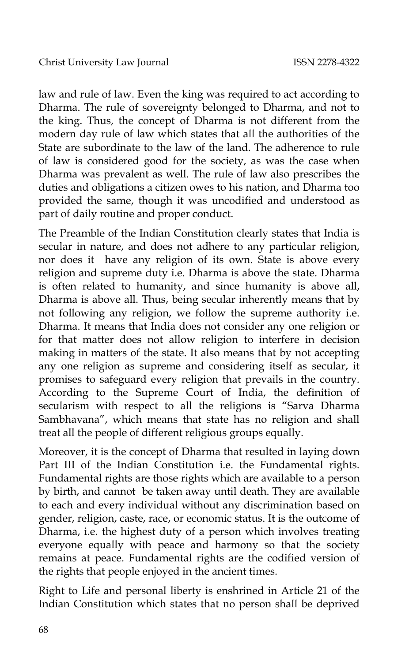law and rule of law. Even the king was required to act according to Dharma. The rule of sovereignty belonged to Dharma, and not to the king. Thus, the concept of Dharma is not different from the modern day rule of law which states that all the authorities of the State are subordinate to the law of the land. The adherence to rule of law is considered good for the society, as was the case when Dharma was prevalent as well. The rule of law also prescribes the duties and obligations a citizen owes to his nation, and Dharma too provided the same, though it was uncodified and understood as part of daily routine and proper conduct.

The Preamble of the Indian Constitution clearly states that India is secular in nature, and does not adhere to any particular religion, nor does it have any religion of its own. State is above every religion and supreme duty i.e. Dharma is above the state. Dharma is often related to humanity, and since humanity is above all, Dharma is above all. Thus, being secular inherently means that by not following any religion, we follow the supreme authority i.e. Dharma. It means that India does not consider any one religion or for that matter does not allow religion to interfere in decision making in matters of the state. It also means that by not accepting any one religion as supreme and considering itself as secular, it promises to safeguard every religion that prevails in the country. According to the Supreme Court of India, the definition of secularism with respect to all the religions is "Sarva Dharma Sambhavana", which means that state has no religion and shall treat all the people of different religious groups equally.

Moreover, it is the concept of Dharma that resulted in laying down Part III of the Indian Constitution i.e. the Fundamental rights. Fundamental rights are those rights which are available to a person by birth, and cannot be taken away until death. They are available to each and every individual without any discrimination based on gender, religion, caste, race, or economic status. It is the outcome of Dharma, i.e. the highest duty of a person which involves treating everyone equally with peace and harmony so that the society remains at peace. Fundamental rights are the codified version of the rights that people enjoyed in the ancient times.

Right to Life and personal liberty is enshrined in Article 21 of the Indian Constitution which states that no person shall be deprived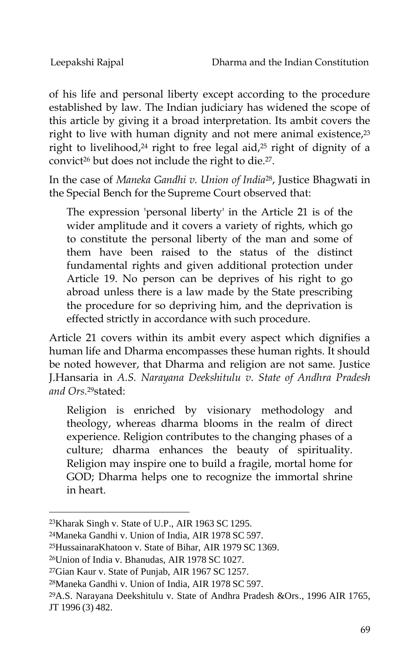of his life and personal liberty except according to the procedure established by law. The Indian judiciary has widened the scope of this article by giving it a broad interpretation. Its ambit covers the right to live with human dignity and not mere animal existence,<sup>23</sup> right to livelihood,<sup>24</sup> right to free legal aid,<sup>25</sup> right of dignity of a convict<sup>26</sup> but does not include the right to die.27.

In the case of *Maneka Gandhi v. Union of India*28, Justice Bhagwati in the Special Bench for the Supreme Court observed that:

The expression 'personal liberty' in the Article 21 is of the wider amplitude and it covers a variety of rights, which go to constitute the personal liberty of the man and some of them have been raised to the status of the distinct fundamental rights and given additional protection under Article 19. No person can be deprives of his right to go abroad unless there is a law made by the State prescribing the procedure for so depriving him, and the deprivation is effected strictly in accordance with such procedure.

Article 21 covers within its ambit every aspect which dignifies a human life and Dharma encompasses these human rights. It should be noted however, that Dharma and religion are not same. Justice J.Hansaria in *A.S. Narayana Deekshitulu v. State of Andhra Pradesh and Ors.*29stated:

Religion is enriched by visionary methodology and theology, whereas dharma blooms in the realm of direct experience. Religion contributes to the changing phases of a culture; dharma enhances the beauty of spirituality. Religion may inspire one to build a fragile, mortal home for GOD; Dharma helps one to recognize the immortal shrine in heart.

-

<sup>25</sup>HussainaraKhatoon v. State of Bihar, AIR 1979 SC 1369.

<sup>23</sup>Kharak Singh v. State of U.P., AIR 1963 SC 1295.

<sup>24</sup>Maneka Gandhi v. Union of India, AIR 1978 SC 597.

<sup>26</sup>Union of India v. Bhanudas, AIR 1978 SC 1027.

<sup>27</sup>Gian Kaur v. State of Punjab, AIR 1967 SC 1257.

<sup>28</sup>Maneka Gandhi v. Union of India, AIR 1978 SC 597.

<sup>29</sup>A.S. Narayana Deekshitulu v. State of Andhra Pradesh &Ors., 1996 AIR 1765, JT 1996 (3) 482.